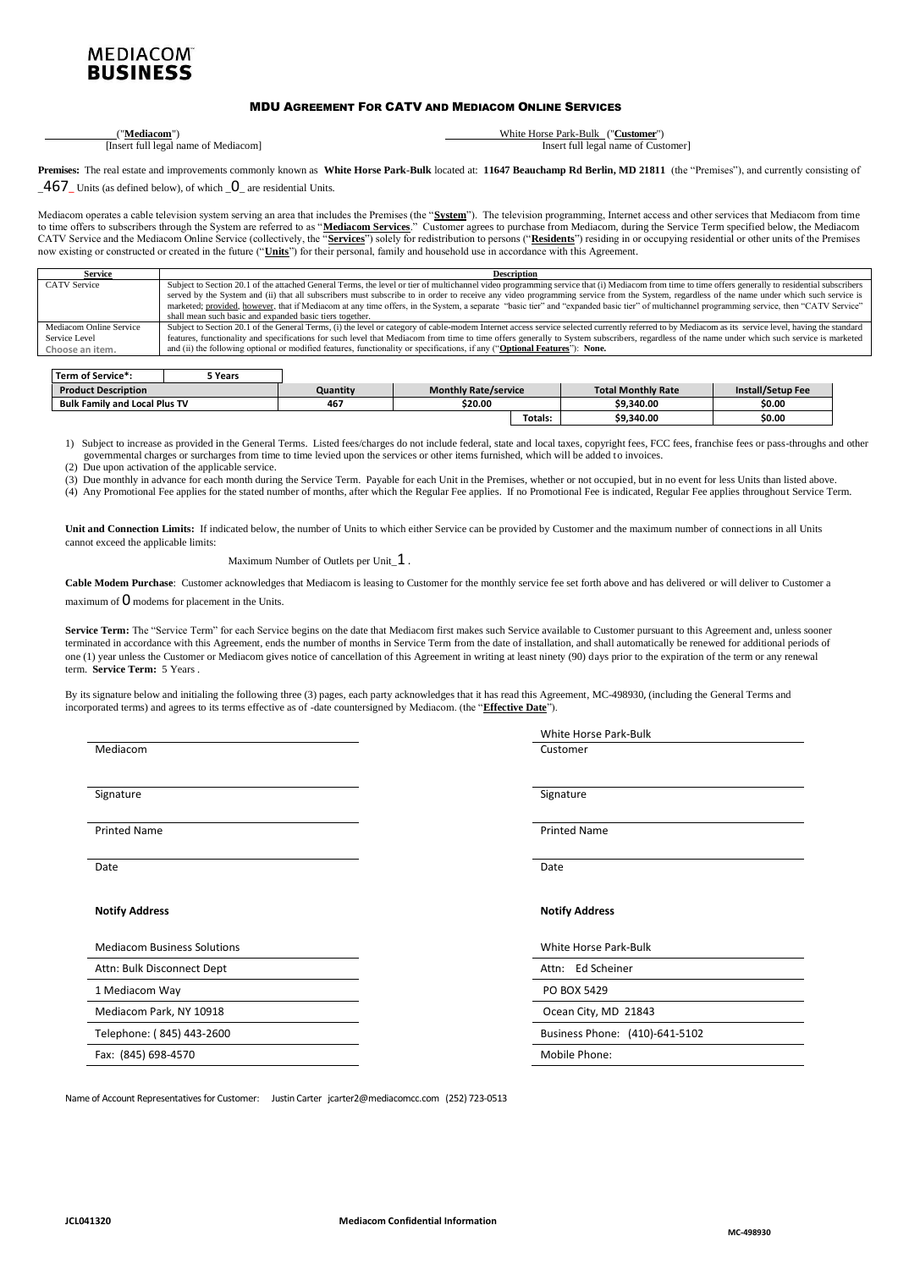## **MEDIACOM BUSINESS**

## MDU AGREEMENT FOR CATV AND MEDIACOM ONLINE SERVICES

| 'Mediacom'                                                                                                                       | White.<br><b>Customer</b><br>Park<br>-Bulk<br>Horse |
|----------------------------------------------------------------------------------------------------------------------------------|-----------------------------------------------------|
| ۱In<br>Mediacom<br>1602<br>name<br>full<br>ΩŤ<br>the contract of the contract of the contract of the contract of the contract of | full<br>ustomer_<br>Insert<br>egal name of U.       |

Premises: The real estate and improvements commonly known as White Horse Park-Bulk located at: 11647 Beauchamp Rd Berlin, MD 21811 (the "Premises"), and currently consisting of \_467**\_** Units (as defined below), of which \_0\_ are residential Units.

Mediacom operates a cable television system serving an area that includes the Premises (the "**System**"). The television programming, Internet access and other services that Mediacom from time to time offers to subscribers through the System are referred to as "**Mediacom Services**." Customer agrees to purchase from Mediacom, during the Service Term specified below, the Mediacom CATV Service and the Mediacom Online Service (collectively, the "**Services**") solely for redistribution to persons ("**Residents**") residing in or occupying residential or other units of the Premises now existing or constructed or created in the future ("**Units**") for their personal, family and household use in accordance with this Agreement.

| Service                 | <b>Description</b>                                                                                                                                                                                  |
|-------------------------|-----------------------------------------------------------------------------------------------------------------------------------------------------------------------------------------------------|
| <b>CATV</b> Service     | Subject to Section 20.1 of the attached General Terms, the level or tier of multichannel video programming service that (i) Mediacom from time to time offers generally to residential subscribers  |
|                         | served by the System and (ii) that all subscribers must subscribe to in order to receive any video programming service from the System, regardless of the name under which such service is          |
|                         | marketed; provided, however, that if Mediacom at any time offers, in the System, a separate "basic tier" and "expanded basic tier" of multichannel programming service, then "CATV Service"         |
|                         | shall mean such basic and expanded basic tiers together.                                                                                                                                            |
| Mediacom Online Service | Subject to Section 20.1 of the General Terms, (i) the level or category of cable-modem Internet access service selected currently referred to by Mediacom as its service level, having the standard |
| Service Level           | features, functionality and specifications for such level that Mediacom from time to time offers generally to System subscribers, regardless of the name under which such service is marketed       |
| Choose an item.         | and (ii) the following optional or modified features, functionality or specifications, if any ("Optional Features"): None.                                                                          |

| Term of Service*:                    | 5 Years |          |                             |         |                           |                   |
|--------------------------------------|---------|----------|-----------------------------|---------|---------------------------|-------------------|
| <b>Product Description</b>           |         | Quantitv | <b>Monthly Rate/service</b> |         | <b>Total Monthly Rate</b> | Install/Setup Fee |
| <b>Bulk Family and Local Plus TV</b> |         | 467      | \$20.00                     |         | \$9,340.00                | \$0.00            |
|                                      |         |          |                             | Totals: | \$9,340.00                | \$0.00            |

1) Subject to increase as provided in the General Terms. Listed fees/charges do not include federal, state and local taxes, copyright fees, FCC fees, franchise fees or pass-throughs and other (3) governmental charges or surcharges from time to time levied upon the services or other items furnished, which will be added to invoices.

(4) (2) Due upon activation of the applicable service.

(5) (3) Due monthly in advance for each month during the Service Term. Payable for each Unit in the Premises, whether or not occupied, but in no event for less Units than listed above. (6) (4) Any Promotional Fee applies for the stated number of months, after which the Regular Fee applies. If no Promotional Fee is indicated, Regular Fee applies throughout Service Term.

**Unit and Connection Limits:** If indicated below, the number of Units to which either Service can be provided by Customer and the maximum number of connections in all Units cannot exceed the applicable limits:

#### Maximum Number of Outlets per Unit\_1.

Cable Modem Purchase: Customer acknowledges that Mediacom is leasing to Customer for the monthly service fee set forth above and has delivered or will deliver to Customer a

maximum of  $O$  modems for placement in the Units.

Service Term: The "Service Term" for each Service begins on the date that Mediacom first makes such Service available to Customer pursuant to this Agreement and, unless sooner terminated in accordance with this Agreement, ends the number of months in Service Term from the date of installation, and shall automatically be renewed for additional periods of one (1) year unless the Customer or Mediacom gives notice of cancellation of this Agreement in writing at least ninety (90) days prior to the expiration of the term or any renewal term. **Service Term:** 5 Years .

By its signature below and initialing the following three (3) pages, each party acknowledges that it has read this Agreement, MC-498930**,** (including the General Terms and incorporated terms) and agrees to its terms effective as of -date countersigned by Mediacom. (the "**Effective Date**").

Mediacom Customer

#### **Notify Address Notify Address**

| <b>Mediacom Business Solutions</b> | White Horse Park-Bulk |
|------------------------------------|-----------------------|
| Attn: Bulk Disconnect Dept         | Attn: Ed Scheiner     |
| 1 Mediacom Way                     | PO BOX 5429           |
| Mediacom Park, NY 10918            | Ocean City, MD 21843  |
| Telephone: ( 845) 443-2600         | Business Phone: (410) |

Fax: (845) 698-4570

**Mediacom 1989** Mediacom **1999** Mediacom **1999** Mediacom **1999** Mediacom **1999** Mediacom **1999** Mediacom **1999** Mediacom **1999** Mediacom **1999** Mediacom **1999** Mediacom **1999** Mediacom **1999** Mediacom **1999** MediaCom **19** Signature Signature Signature Signature Signature Signature Signature Signature Signature Signature Signature Printed Name **Printed Name** Printed Name **Printed Name** Printed Name **Printed Name** Date Date

| White Horse Park-Bulk          |  |  |
|--------------------------------|--|--|
| Attn: Ed Scheiner              |  |  |
| PO BOX 5429                    |  |  |
| Ocean City, MD 21843           |  |  |
| Business Phone: (410)-641-5102 |  |  |
| Mobile Phone:                  |  |  |
|                                |  |  |

Name of Account Representatives for Customer: Justin Carter jcarter2@mediacomcc.com (252) 723-0513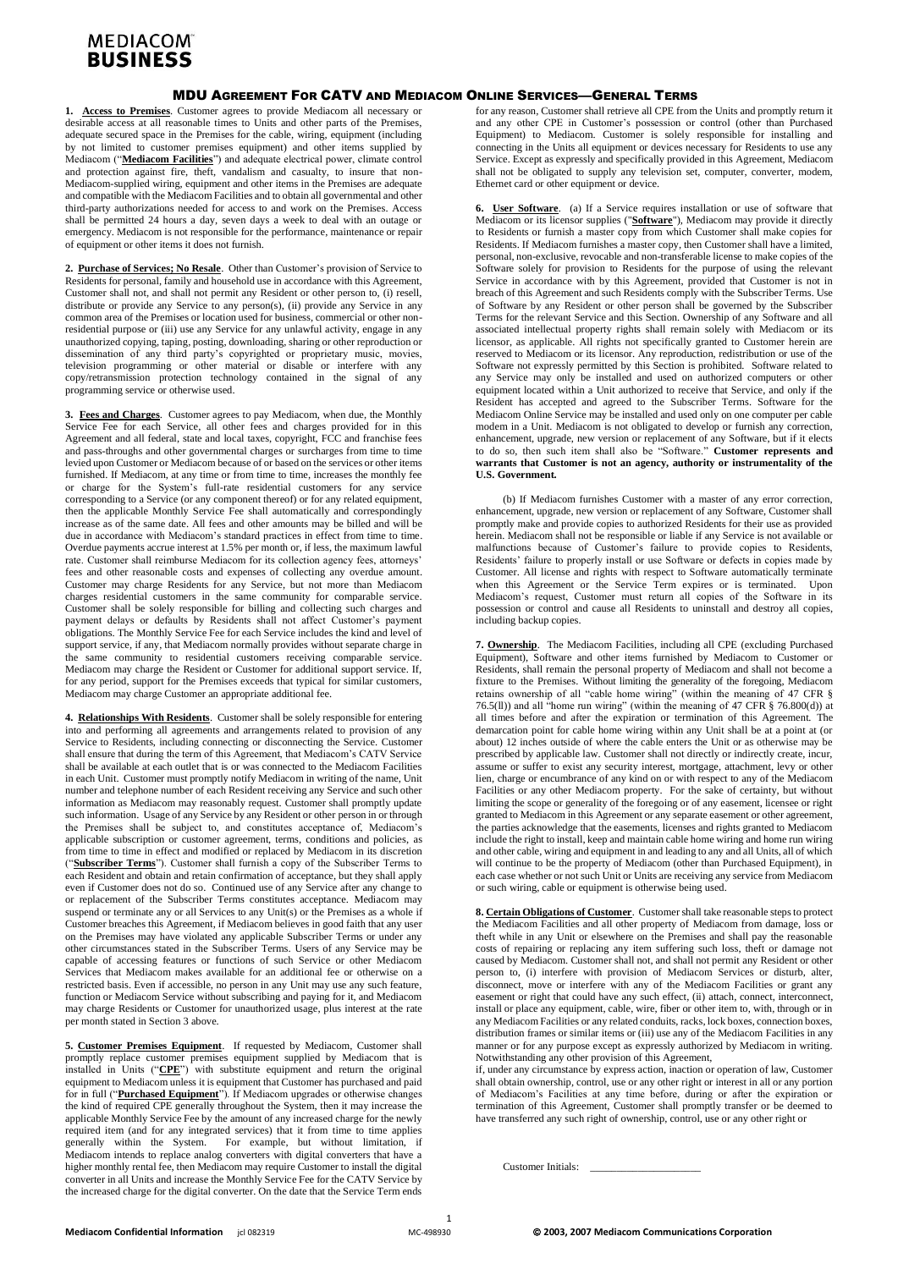## **MEDIACOM® BUSINESS**

### MDU AGREEMENT FOR CATV AND MEDIACOM ONLINE SERVICES—GENERAL TERMS

**1. Access to Premises**. Customer agrees to provide Mediacom all necessary or desirable access at all reasonable times to Units and other parts of the Premises, adequate secured space in the Premises for the cable, wiring, equipment (including by not limited to customer premises equipment) and other items supplied by Mediacom ("**Mediacom Facilities**") and adequate electrical power, climate control and protection against fire, theft, vandalism and casualty, to insure that non-Mediacom-supplied wiring, equipment and other items in the Premises are adequate and compatible with the Mediacom Facilities and to obtain all governmental and other third-party authorizations needed for access to and work on the Premises. Access shall be permitted 24 hours a day, seven days a week to deal with an outage or emergency. Mediacom is not responsible for the performance, maintenance or repair of equipment or other items it does not furnish.

**2. Purchase of Services; No Resale**. Other than Customer's provision of Service to Residents for personal, family and household use in accordance with this Agreement, Customer shall not, and shall not permit any Resident or other person to, (i) resell, distribute or provide any Service to any person(s), (ii) provide any Service in any common area of the Premises or location used for business, commercial or other nonresidential purpose or (iii) use any Service for any unlawful activity, engage in any unauthorized copying, taping, posting, downloading, sharing or other reproduction or dissemination of any third party's copyrighted or proprietary music, movies, television programming or other material or disable or interfere with any copy/retransmission protection technology contained in the signal of any programming service or otherwise used.

**3. Fees and Charges**. Customer agrees to pay Mediacom, when due, the Monthly Service Fee for each Service, all other fees and charges provided for in this Agreement and all federal, state and local taxes, copyright, FCC and franchise fees and pass-throughs and other governmental charges or surcharges from time to time levied upon Customer or Mediacom because of or based on the services or other items furnished. If Mediacom, at any time or from time to time, increases the monthly fee or charge for the System's full-rate residential customers for any service corresponding to a Service (or any component thereof) or for any related equipment, then the applicable Monthly Service Fee shall automatically and correspondingly increase as of the same date. All fees and other amounts may be billed and will be due in accordance with Mediacom's standard practices in effect from time to time. Overdue payments accrue interest at 1.5% per month or, if less, the maximum lawful rate. Customer shall reimburse Mediacom for its collection agency fees, attorneys' fees and other reasonable costs and expenses of collecting any overdue amount. Customer may charge Residents for any Service, but not more than Mediacom charges residential customers in the same community for comparable service. Customer shall be solely responsible for billing and collecting such charges and payment delays or defaults by Residents shall not affect Customer's payment obligations. The Monthly Service Fee for each Service includes the kind and level of support service, if any, that Mediacom normally provides without separate charge in the same community to residential customers receiving comparable service. Mediacom may charge the Resident or Customer for additional support service. If, for any period, support for the Premises exceeds that typical for similar customers, Mediacom may charge Customer an appropriate additional fee.

**4. Relationships With Residents**. Customer shall be solely responsible for entering into and performing all agreements and arrangements related to provision of any Service to Residents, including connecting or disconnecting the Service. Customer shall ensure that during the term of this Agreement, that Mediacom's CATV Service shall be available at each outlet that is or was connected to the Mediacom Facilities in each Unit. Customer must promptly notify Mediacom in writing of the name, Unit number and telephone number of each Resident receiving any Service and such other information as Mediacom may reasonably request. Customer shall promptly update such information. Usage of any Service by any Resident or other person in or through the Premises shall be subject to, and constitutes acceptance of, Mediacom's applicable subscription or customer agreement, terms, conditions and policies, as from time to time in effect and modified or replaced by Mediacom in its discretion ("**Subscriber Terms**"). Customer shall furnish a copy of the Subscriber Terms to each Resident and obtain and retain confirmation of acceptance, but they shall apply even if Customer does not do so. Continued use of any Service after any change to or replacement of the Subscriber Terms constitutes acceptance. Mediacom may suspend or terminate any or all Services to any Unit(s) or the Premises as a whole if Customer breaches this Agreement, if Mediacom believes in good faith that any user on the Premises may have violated any applicable Subscriber Terms or under any other circumstances stated in the Subscriber Terms. Users of any Service may be capable of accessing features or functions of such Service or other Mediacom Services that Mediacom makes available for an additional fee or otherwise on a restricted basis. Even if accessible, no person in any Unit may use any such feature, function or Mediacom Service without subscribing and paying for it, and Mediacom may charge Residents or Customer for unauthorized usage, plus interest at the rate per month stated in Section 3 above.

**5. Customer Premises Equipment**. If requested by Mediacom, Customer shall promptly replace customer premises equipment supplied by Mediacom that is installed in Units ("**CPE**") with substitute equipment and return the original equipment to Mediacom unless it is equipment that Customer has purchased and paid for in full ("**Purchased Equipment**"). If Mediacom upgrades or otherwise changes the kind of required CPE generally throughout the System, then it may increase the applicable Monthly Service Fee by the amount of any increased charge for the newly required item (and for any integrated services) that it from time to time applies generally within the System. For example, but without limitation, if Mediacom intends to replace analog converters with digital converters that have a higher monthly rental fee, then Mediacom may require Customer to install the digital converter in all Units and increase the Monthly Service Fee for the CATV Service by the increased charge for the digital converter. On the date that the Service Term ends

for any reason, Customer shall retrieve all CPE from the Units and promptly return it and any other CPE in Customer's possession or control (other than Purchased Equipment) to Mediacom. Customer is solely responsible for installing and connecting in the Units all equipment or devices necessary for Residents to use any Service. Except as expressly and specifically provided in this Agreement, Mediacom shall not be obligated to supply any television set, computer, converter, modem, Ethernet card or other equipment or device.

**6. User Software**. (a) If a Service requires installation or use of software that Mediacom or its licensor supplies ("**Software**"), Mediacom may provide it directly to Residents or furnish a master copy from which Customer shall make copies for Residents. If Mediacom furnishes a master copy, then Customer shall have a limited, personal, non-exclusive, revocable and non-transferable license to make copies of the Software solely for provision to Residents for the purpose of using the relevant Service in accordance with by this Agreement, provided that Customer is not in breach of this Agreement and such Residents comply with the Subscriber Terms. Use of Software by any Resident or other person shall be governed by the Subscriber Terms for the relevant Service and this Section. Ownership of any Software and all associated intellectual property rights shall remain solely with Mediacom or its licensor, as applicable. All rights not specifically granted to Customer herein are reserved to Mediacom or its licensor. Any reproduction, redistribution or use of the Software not expressly permitted by this Section is prohibited. Software related to any Service may only be installed and used on authorized computers or other equipment located within a Unit authorized to receive that Service, and only if the Resident has accepted and agreed to the Subscriber Terms. Software for the Mediacom Online Service may be installed and used only on one computer per cable modem in a Unit. Mediacom is not obligated to develop or furnish any correction, enhancement, upgrade, new version or replacement of any Software, but if it elects to do so, then such item shall also be "Software." **Customer represents and warrants that Customer is not an agency, authority or instrumentality of the U.S. Government.**

(b) If Mediacom furnishes Customer with a master of any error correction, enhancement, upgrade, new version or replacement of any Software, Customer shall promptly make and provide copies to authorized Residents for their use as provided herein. Mediacom shall not be responsible or liable if any Service is not available or malfunctions because of Customer's failure to provide copies to Residents, Residents' failure to properly install or use Software or defects in copies made by Customer. All license and rights with respect to Software automatically terminate when this Agreement or the Service Term expires or is terminated. Upon Mediacom's request, Customer must return all copies of the Software in its possession or control and cause all Residents to uninstall and destroy all copies, including backup copies.

**7. Ownership**. The Mediacom Facilities, including all CPE (excluding Purchased Equipment), Software and other items furnished by Mediacom to Customer or Residents, shall remain the personal property of Mediacom and shall not become a fixture to the Premises. Without limiting the generality of the foregoing, Mediacom retains ownership of all "cable home wiring" (within the meaning of 47 CFR § 76.5(ll)) and all "home run wiring" (within the meaning of 47 CFR § 76.800(d)) at all times before and after the expiration or termination of this Agreement. The demarcation point for cable home wiring within any Unit shall be at a point at (or about) 12 inches outside of where the cable enters the Unit or as otherwise may be prescribed by applicable law. Customer shall not directly or indirectly create, incur, assume or suffer to exist any security interest, mortgage, attachment, levy or other lien, charge or encumbrance of any kind on or with respect to any of the Mediacom Facilities or any other Mediacom property. For the sake of certainty, but without limiting the scope or generality of the foregoing or of any easement, licensee or right granted to Mediacom in this Agreement or any separate easement or other agreement, the parties acknowledge that the easements, licenses and rights granted to Mediacom include the right to install, keep and maintain cable home wiring and home run wiring and other cable, wiring and equipment in and leading to any and all Units, all of which will continue to be the property of Mediacom (other than Purchased Equipment), in each case whether or not such Unit or Units are receiving any service from Mediacom or such wiring, cable or equipment is otherwise being used.

**8. Certain Obligations of Customer**. Customer shall take reasonable steps to protect the Mediacom Facilities and all other property of Mediacom from damage, loss or theft while in any Unit or elsewhere on the Premises and shall pay the reasonable costs of repairing or replacing any item suffering such loss, theft or damage not caused by Mediacom. Customer shall not, and shall not permit any Resident or other person to, (i) interfere with provision of Mediacom Services or disturb, alter, disconnect, move or interfere with any of the Mediacom Facilities or grant any easement or right that could have any such effect, (ii) attach, connect, interconnect, install or place any equipment, cable, wire, fiber or other item to, with, through or in any Mediacom Facilities or any related conduits, racks, lock boxes, connection boxes, distribution frames or similar items or (iii) use any of the Mediacom Facilities in any manner or for any purpose except as expressly authorized by Mediacom in writing. Notwithstanding any other provision of this Agreement,

if, under any circumstance by express action, inaction or operation of law, Customer shall obtain ownership, control, use or any other right or interest in all or any portion of Mediacom's Facilities at any time before, during or after the expiration or termination of this Agreement, Customer shall promptly transfer or be deemed to have transferred any such right of ownership, control, use or any other right or

Customer Initials: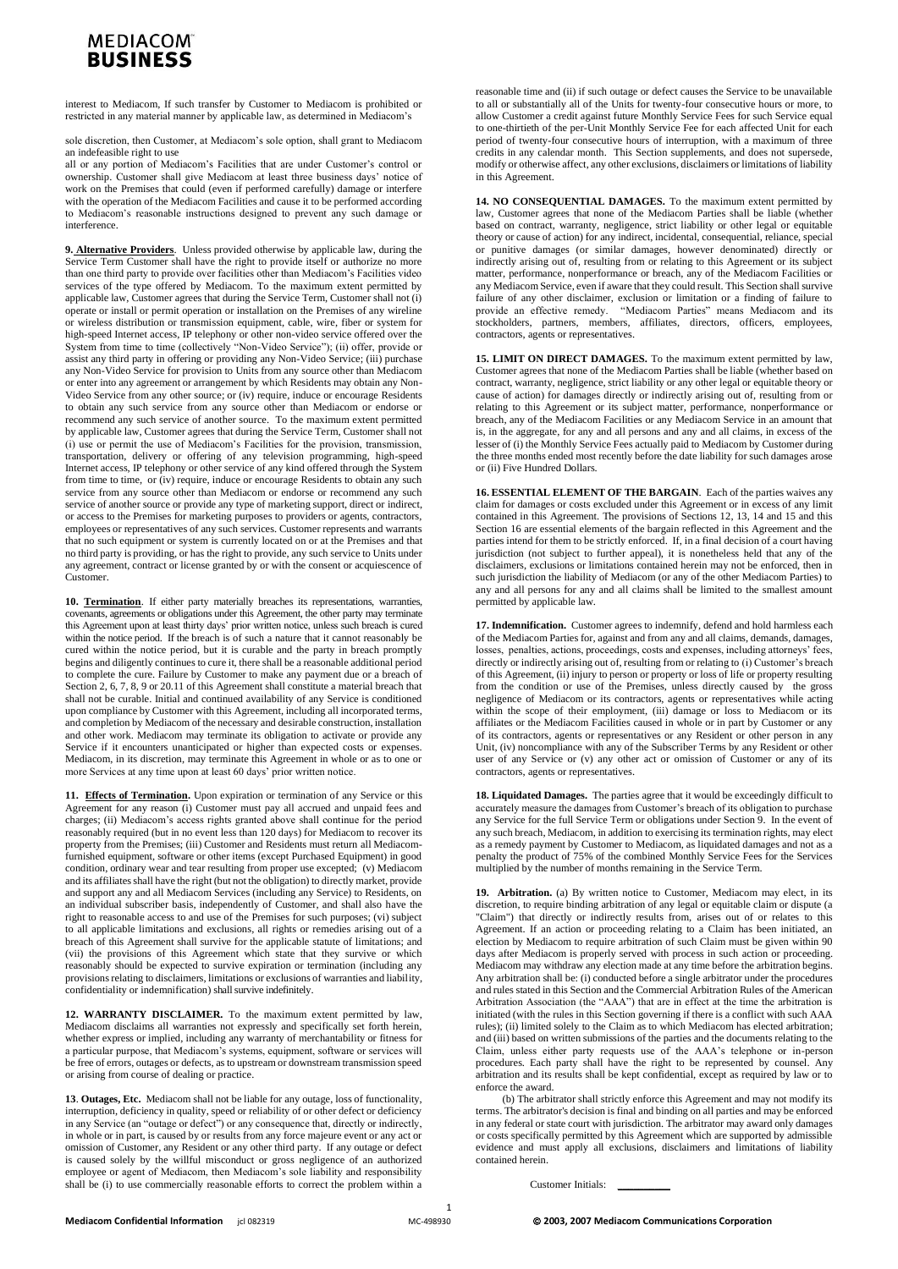# **MEDIACOM BUSINESS**

interest to Mediacom, If such transfer by Customer to Mediacom is prohibited or restricted in any material manner by applicable law, as determined in Mediacom's

sole discretion, then Customer, at Mediacom's sole option, shall grant to Mediacom an indefeasible right to use

all or any portion of Mediacom's Facilities that are under Customer's control or ownership. Customer shall give Mediacom at least three business days' notice of work on the Premises that could (even if performed carefully) damage or interfere with the operation of the Mediacom Facilities and cause it to be performed according to Mediacom's reasonable instructions designed to prevent any such damage or interference.

**9. Alternative Providers**. Unless provided otherwise by applicable law, during the Service Term Customer shall have the right to provide itself or authorize no more than one third party to provide over facilities other than Mediacom's Facilities video services of the type offered by Mediacom. To the maximum extent permitted by applicable law, Customer agrees that during the Service Term, Customer shall not (i) operate or install or permit operation or installation on the Premises of any wireline or wireless distribution or transmission equipment, cable, wire, fiber or system for high-speed Internet access, IP telephony or other non-video service offered over the System from time to time (collectively "Non-Video Service"); (ii) offer, provide or assist any third party in offering or providing any Non-Video Service; (iii) purchase any Non-Video Service for provision to Units from any source other than Mediacom or enter into any agreement or arrangement by which Residents may obtain any Non-Video Service from any other source; or (iv) require, induce or encourage Residents to obtain any such service from any source other than Mediacom or endorse or recommend any such service of another source. To the maximum extent permitted by applicable law, Customer agrees that during the Service Term, Customer shall not (i) use or permit the use of Mediacom's Facilities for the provision, transmission, transportation, delivery or offering of any television programming, high-speed Internet access, IP telephony or other service of any kind offered through the System from time to time, or (iv) require, induce or encourage Residents to obtain any such service from any source other than Mediacom or endorse or recommend any such service of another source or provide any type of marketing support, direct or indirect, or access to the Premises for marketing purposes to providers or agents, contractors, employees or representatives of any such services. Customer represents and warrants that no such equipment or system is currently located on or at the Premises and that no third party is providing, or has the right to provide, any such service to Units under any agreement, contract or license granted by or with the consent or acquiescence of Customer.

**10. Termination**. If either party materially breaches its representations, warranties, covenants, agreements or obligations under this Agreement, the other party may terminate this Agreement upon at least thirty days' prior written notice, unless such breach is cured within the notice period. If the breach is of such a nature that it cannot reasonably be cured within the notice period, but it is curable and the party in breach promptly begins and diligently continues to cure it, there shall be a reasonable additional period to complete the cure. Failure by Customer to make any payment due or a breach of Section 2, 6, 7, 8, 9 or 20.11 of this Agreement shall constitute a material breach that shall not be curable. Initial and continued availability of any Service is conditioned upon compliance by Customer with this Agreement, including all incorporated terms, and completion by Mediacom of the necessary and desirable construction, installation and other work. Mediacom may terminate its obligation to activate or provide any Service if it encounters unanticipated or higher than expected costs or expenses. Mediacom, in its discretion, may terminate this Agreement in whole or as to one or more Services at any time upon at least 60 days' prior written notice.

**11. Effects of Termination.** Upon expiration or termination of any Service or this Agreement for any reason (i) Customer must pay all accrued and unpaid fees and charges; (ii) Mediacom's access rights granted above shall continue for the period reasonably required (but in no event less than 120 days) for Mediacom to recover its property from the Premises; (iii) Customer and Residents must return all Mediacomfurnished equipment, software or other items (except Purchased Equipment) in good condition, ordinary wear and tear resulting from proper use excepted; (v) Mediacom and its affiliates shall have the right (but not the obligation) to directly market, provide and support any and all Mediacom Services (including any Service) to Residents, on an individual subscriber basis, independently of Customer, and shall also have the right to reasonable access to and use of the Premises for such purposes; (vi) subject to all applicable limitations and exclusions, all rights or remedies arising out of a breach of this Agreement shall survive for the applicable statute of limitations; and (vii) the provisions of this Agreement which state that they survive or which reasonably should be expected to survive expiration or termination (including any provisions relating to disclaimers, limitations or exclusions of warranties and liability, confidentiality or indemnification) shall survive indefinitely.

**12. WARRANTY DISCLAIMER.** To the maximum extent permitted by law, Mediacom disclaims all warranties not expressly and specifically set forth herein, whether express or implied, including any warranty of merchantability or fitness for a particular purpose, that Mediacom's systems, equipment, software or services will be free of errors, outages or defects, as to upstream or downstream transmission speed or arising from course of dealing or practice.

**13**. **Outages, Etc.** Mediacom shall not be liable for any outage, loss of functionality, interruption, deficiency in quality, speed or reliability of or other defect or deficiency in any Service (an "outage or defect") or any consequence that, directly or indirectly, in whole or in part, is caused by or results from any force majeure event or any act or omission of Customer, any Resident or any other third party. If any outage or defect is caused solely by the willful misconduct or gross negligence of an authorized employee or agent of Mediacom, then Mediacom's sole liability and responsibility shall be (i) to use commercially reasonable efforts to correct the problem within a

reasonable time and (ii) if such outage or defect causes the Service to be unavailable to all or substantially all of the Units for twenty-four consecutive hours or more, to allow Customer a credit against future Monthly Service Fees for such Service equal to one-thirtieth of the per-Unit Monthly Service Fee for each affected Unit for each period of twenty-four consecutive hours of interruption, with a maximum of three credits in any calendar month. This Section supplements, and does not supersede, modify or otherwise affect, any other exclusions, disclaimers or limitations of liability in this Agreement.

**14. NO CONSEQUENTIAL DAMAGES.** To the maximum extent permitted by law, Customer agrees that none of the Mediacom Parties shall be liable (whether based on contract, warranty, negligence, strict liability or other legal or equitable theory or cause of action) for any indirect, incidental, consequential, reliance, special or punitive damages (or similar damages, however denominated) directly or indirectly arising out of, resulting from or relating to this Agreement or its subject matter, performance, nonperformance or breach, any of the Mediacom Facilities or any Mediacom Service, even if aware that they could result. This Section shall survive failure of any other disclaimer, exclusion or limitation or a finding of failure to provide an effective remedy. "Mediacom Parties" means Mediacom and its stockholders, partners, members, affiliates, directors, officers, employees, contractors, agents or representatives.

**15. LIMIT ON DIRECT DAMAGES.** To the maximum extent permitted by law, Customer agrees that none of the Mediacom Parties shall be liable (whether based on contract, warranty, negligence, strict liability or any other legal or equitable theory or cause of action) for damages directly or indirectly arising out of, resulting from or relating to this Agreement or its subject matter, performance, nonperformance or breach, any of the Mediacom Facilities or any Mediacom Service in an amount that is, in the aggregate, for any and all persons and any and all claims, in excess of the lesser of (i) the Monthly Service Fees actually paid to Mediacom by Customer during the three months ended most recently before the date liability for such damages arose or (ii) Five Hundred Dollars.

**16. ESSENTIAL ELEMENT OF THE BARGAIN**. Each of the parties waives any claim for damages or costs excluded under this Agreement or in excess of any limit contained in this Agreement. The provisions of Sections 12, 13, 14 and 15 and this Section 16 are essential elements of the bargain reflected in this Agreement and the parties intend for them to be strictly enforced. If, in a final decision of a court having jurisdiction (not subject to further appeal), it is nonetheless held that any of the disclaimers, exclusions or limitations contained herein may not be enforced, then in such jurisdiction the liability of Mediacom (or any of the other Mediacom Parties) to any and all persons for any and all claims shall be limited to the smallest amount permitted by applicable law.

**17. Indemnification.** Customer agrees to indemnify, defend and hold harmless each of the Mediacom Parties for, against and from any and all claims, demands, damages, losses, penalties, actions, proceedings, costs and expenses, including attorneys' fees, directly or indirectly arising out of, resulting from or relating to (i) Customer's breach of this Agreement, (ii) injury to person or property or loss of life or property resulting from the condition or use of the Premises, unless directly caused by the gross negligence of Mediacom or its contractors, agents or representatives while acting within the scope of their employment, (iii) damage or loss to Mediacom or its affiliates or the Mediacom Facilities caused in whole or in part by Customer or any of its contractors, agents or representatives or any Resident or other person in any Unit, (iv) noncompliance with any of the Subscriber Terms by any Resident or other user of any Service or (v) any other act or omission of Customer or any of its contractors, agents or representatives.

**18. Liquidated Damages.** The parties agree that it would be exceedingly difficult to accurately measure the damages from Customer's breach of its obligation to purchase any Service for the full Service Term or obligations under Section 9. In the event of any such breach, Mediacom, in addition to exercising its termination rights, may elect as a remedy payment by Customer to Mediacom, as liquidated damages and not as a penalty the product of 75% of the combined Monthly Service Fees for the Services multiplied by the number of months remaining in the Service Term.

**19. Arbitration.** (a) By written notice to Customer, Mediacom may elect, in its discretion, to require binding arbitration of any legal or equitable claim or dispute (a "Claim") that directly or indirectly results from, arises out of or relates to this Agreement. If an action or proceeding relating to a Claim has been initiated, an election by Mediacom to require arbitration of such Claim must be given within 90 days after Mediacom is properly served with process in such action or proceeding. Mediacom may withdraw any election made at any time before the arbitration begins. Any arbitration shall be: (i) conducted before a single arbitrator under the procedures and rules stated in this Section and the Commercial Arbitration Rules of the American Arbitration Association (the "AAA") that are in effect at the time the arbitration is initiated (with the rules in this Section governing if there is a conflict with such AAA rules); (ii) limited solely to the Claim as to which Mediacom has elected arbitration; and (iii) based on written submissions of the parties and the documents relating to the Claim, unless either party requests use of the AAA's telephone or in-person procedures. Each party shall have the right to be represented by counsel. Any arbitration and its results shall be kept confidential, except as required by law or to enforce the award.

 (b) The arbitrator shall strictly enforce this Agreement and may not modify its terms. The arbitrator's decision is final and binding on all parties and may be enforced in any federal or state court with jurisdiction. The arbitrator may award only damages or costs specifically permitted by this Agreement which are supported by admissible evidence and must apply all exclusions, disclaimers and limitations of liability contained herein.

Customer Initials:

1